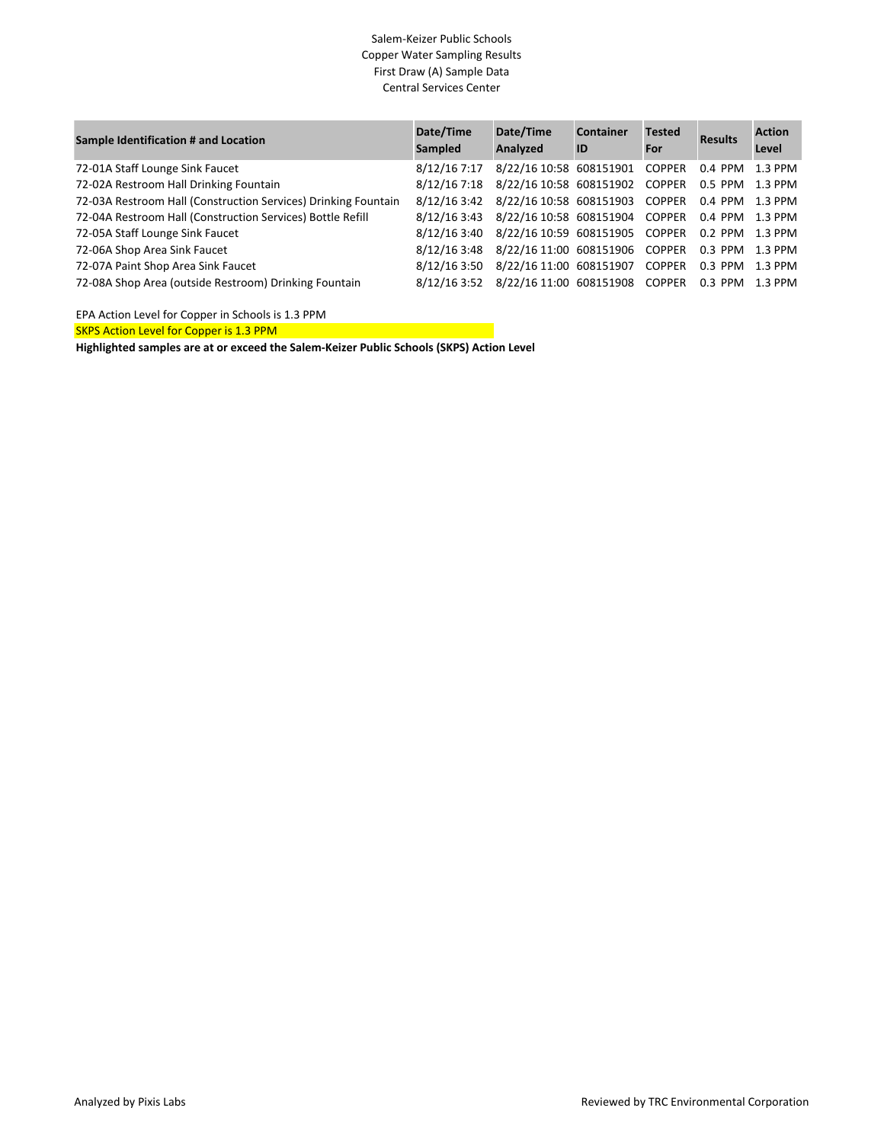## Salem-Keizer Public Schools Copper Water Sampling Results First Draw (A) Sample Data Central Services Center

| Sample Identification # and Location                           | Date/Time<br>Sampled | Date/Time<br>Analyzed                          | <b>Container</b><br>ID | <b>Tested</b><br>For | <b>Results</b>  | <b>Action</b><br>Level |
|----------------------------------------------------------------|----------------------|------------------------------------------------|------------------------|----------------------|-----------------|------------------------|
| 72-01A Staff Lounge Sink Faucet                                | 8/12/16 7:17         | 8/22/16 10:58 608151901                        |                        | <b>COPPER</b>        | 0.4 PPM         | 1.3 PPM                |
| 72-02A Restroom Hall Drinking Fountain                         |                      | 8/12/16 7:18 8/22/16 10:58 608151902 COPPER    |                        |                      | 0.5 PPM 1.3 PPM |                        |
| 72-03A Restroom Hall (Construction Services) Drinking Fountain |                      | 8/12/16 3:42 8/22/16 10:58 608151903 COPPER    |                        |                      | 0.4 PPM 1.3 PPM |                        |
| 72-04A Restroom Hall (Construction Services) Bottle Refill     |                      | 8/12/16 3:43 8/22/16 10:58 608151904 COPPER    |                        |                      | 0.4 PPM 1.3 PPM |                        |
| 72-05A Staff Lounge Sink Faucet                                | 8/12/16 3:40         | 8/22/16 10:59 608151905 COPPER 0.2 PPM 1.3 PPM |                        |                      |                 |                        |
| 72-06A Shop Area Sink Faucet                                   |                      | 8/12/16 3:48 8/22/16 11:00 608151906 COPPER    |                        |                      | 0.3 PPM         | 1.3 PPM                |
| 72-07A Paint Shop Area Sink Faucet                             | 8/12/16 3:50         | 8/22/16 11:00 608151907 COPPER                 |                        |                      | 0.3 PPM         | 1.3 PPM                |
| 72-08A Shop Area (outside Restroom) Drinking Fountain          | 8/12/16 3:52         | 8/22/16 11:00 608151908 COPPER                 |                        |                      | 0.3 PPM         | 1.3 PPM                |

EPA Action Level for Copper in Schools is 1.3 PPM

SKPS Action Level for Copper is 1.3 PPM

**Highlighted samples are at or exceed the Salem-Keizer Public Schools (SKPS) Action Level**